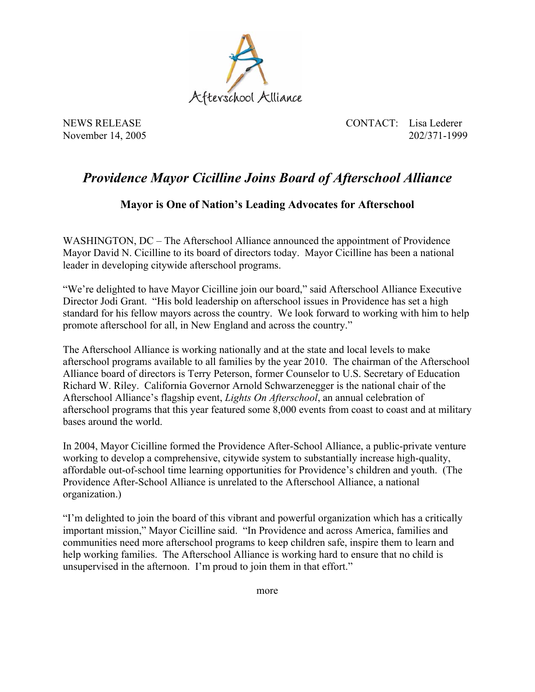

NEWS RELEASE CONTACT: Lisa Lederer November 14, 2005 202/371-1999

## *Providence Mayor Cicilline Joins Board of Afterschool Alliance*

## **Mayor is One of Nation's Leading Advocates for Afterschool**

WASHINGTON, DC – The Afterschool Alliance announced the appointment of Providence Mayor David N. Cicilline to its board of directors today. Mayor Cicilline has been a national leader in developing citywide afterschool programs.

"We're delighted to have Mayor Cicilline join our board," said Afterschool Alliance Executive Director Jodi Grant. "His bold leadership on afterschool issues in Providence has set a high standard for his fellow mayors across the country. We look forward to working with him to help promote afterschool for all, in New England and across the country."

The Afterschool Alliance is working nationally and at the state and local levels to make afterschool programs available to all families by the year 2010. The chairman of the Afterschool Alliance board of directors is Terry Peterson, former Counselor to U.S. Secretary of Education Richard W. Riley. California Governor Arnold Schwarzenegger is the national chair of the Afterschool Alliance's flagship event, *Lights On Afterschool*, an annual celebration of afterschool programs that this year featured some 8,000 events from coast to coast and at military bases around the world.

In 2004, Mayor Cicilline formed the Providence After-School Alliance, a public-private venture working to develop a comprehensive, citywide system to substantially increase high-quality, affordable out-of-school time learning opportunities for Providence's children and youth. (The Providence After-School Alliance is unrelated to the Afterschool Alliance, a national organization.)

"I'm delighted to join the board of this vibrant and powerful organization which has a critically important mission," Mayor Cicilline said. "In Providence and across America, families and communities need more afterschool programs to keep children safe, inspire them to learn and help working families. The Afterschool Alliance is working hard to ensure that no child is unsupervised in the afternoon. I'm proud to join them in that effort."

more